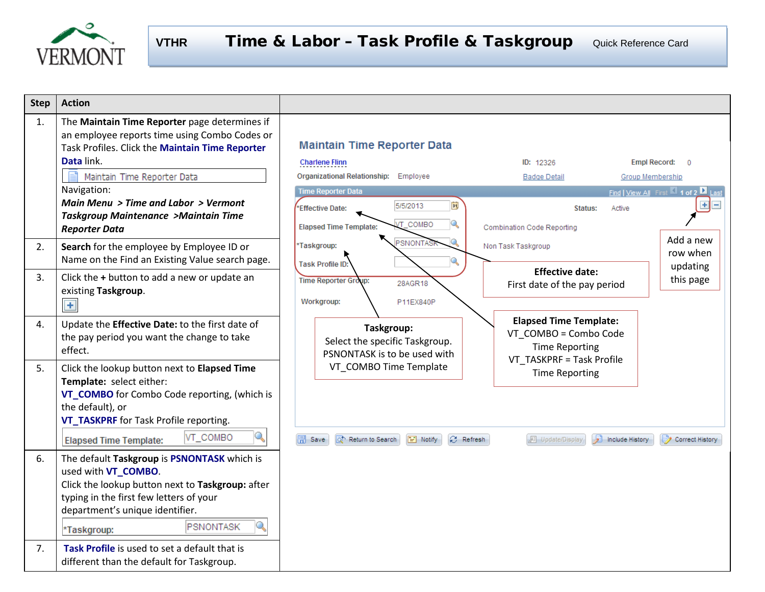

| <b>Step</b> | <b>Action</b>                                                                                                                                                                                                                                                                            |                                                                                                                                                                                                                          |
|-------------|------------------------------------------------------------------------------------------------------------------------------------------------------------------------------------------------------------------------------------------------------------------------------------------|--------------------------------------------------------------------------------------------------------------------------------------------------------------------------------------------------------------------------|
| 1.          | The Maintain Time Reporter page determines if<br>an employee reports time using Combo Codes or<br>Task Profiles. Click the Maintain Time Reporter<br>Data link.                                                                                                                          | <b>Maintain Time Reporter Data</b><br><b>Empl Record:</b><br><b>Charlene Flinn</b><br>ID: 12326<br>$\Omega$                                                                                                              |
|             | Maintain Time Reporter Data                                                                                                                                                                                                                                                              | Organizational Relationship: Employee<br><b>Badge Detail</b><br>Group Membership                                                                                                                                         |
|             | Navigation:<br>Main Menu > Time and Labor > Vermont<br><b>Taskgroup Maintenance &gt;Maintain Time</b><br><b>Reporter Data</b>                                                                                                                                                            | <b>Time Reporter Data</b><br>Find   View All First 1 of 2   Last<br>BU<br>5/5/2013<br>$+$<br>*Effective Date:<br>Status:<br>Active<br>Q<br><b>T_COMBO</b><br><b>Elapsed Time Template:</b><br>Combination Code Reporting |
| 2.          | Search for the employee by Employee ID or<br>Name on the Find an Existing Value search page.                                                                                                                                                                                             | Add a new<br>PSNONTAS<br>*Taskgroup:<br>Non Task Taskgroup<br>row when<br><b>Task Profile ID:</b><br>updating                                                                                                            |
| 3.          | Click the + button to add a new or update an<br>existing Taskgroup.<br>$+$                                                                                                                                                                                                               | <b>Effective date:</b><br>this page<br><b>Time Reporter Group:</b><br>28AGR18<br>First date of the pay period<br>Workgroup:<br>P11EX840P                                                                                 |
| 4.          | Update the Effective Date: to the first date of<br>the pay period you want the change to take<br>effect.                                                                                                                                                                                 | <b>Elapsed Time Template:</b><br>Taskgroup:<br>VT COMBO = Combo Code<br>Select the specific Taskgroup.<br><b>Time Reporting</b><br>PSNONTASK is to be used with<br>VT TASKPRF = Task Profile                             |
| 5.          | Click the lookup button next to Elapsed Time<br>Template: select either:<br>VT_COMBO for Combo Code reporting, (which is<br>the default), or<br>VT_TASKPRF for Task Profile reporting.                                                                                                   | VT COMBO Time Template<br><b>Time Reporting</b>                                                                                                                                                                          |
|             | Q<br>VT_COMBO<br><b>Elapsed Time Template:</b>                                                                                                                                                                                                                                           | Fill Notify<br><b>C</b> Refresh<br>Include History<br>$\Box$ Save<br>o <sup>t</sup> Return to Search<br><b>图 Update/Display</b><br>Correct History                                                                       |
| 6.<br>7.    | The default Taskgroup is PSNONTASK which is<br>used with VT_COMBO.<br>Click the lookup button next to Taskgroup: after<br>typing in the first few letters of your<br>department's unique identifier.<br><b>PSNONTASK</b><br>*Taskgroup:<br>Task Profile is used to set a default that is |                                                                                                                                                                                                                          |
|             | different than the default for Taskgroup.                                                                                                                                                                                                                                                |                                                                                                                                                                                                                          |